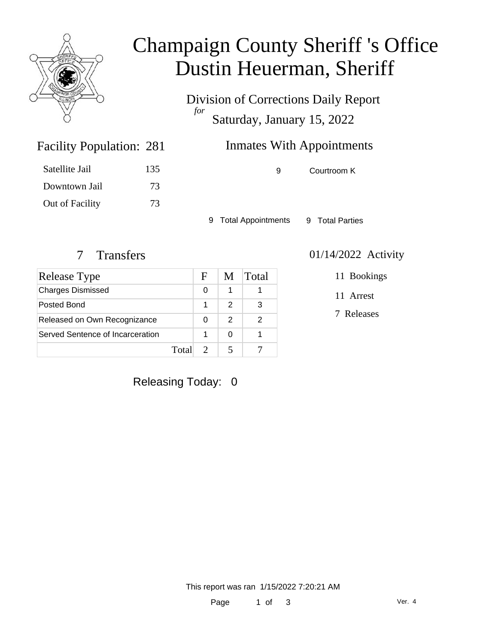

# Champaign County Sheriff 's Office Dustin Heuerman, Sheriff

Division of Corrections Daily Report *for* Saturday, January 15, 2022

### Inmates With Appointments

Facility Population: 281

| Satellite Jail  | 135 |
|-----------------|-----|
| Downtown Jail   | 73  |
| Out of Facility | 73  |

9 Courtroom K

9 Total Appointments 9 Total Parties

| <b>Release Type</b>              |       | $\mathbf{F}$ | M | Total |
|----------------------------------|-------|--------------|---|-------|
| <b>Charges Dismissed</b>         |       | 0            |   |       |
| Posted Bond                      |       |              | 2 | 3     |
| Released on Own Recognizance     |       |              | 2 | 2     |
| Served Sentence of Incarceration |       |              |   |       |
|                                  | Total |              |   |       |

### 7 Transfers 01/14/2022 Activity

11 Bookings

11 Arrest

7 Releases

Releasing Today: 0

This report was ran 1/15/2022 7:20:21 AM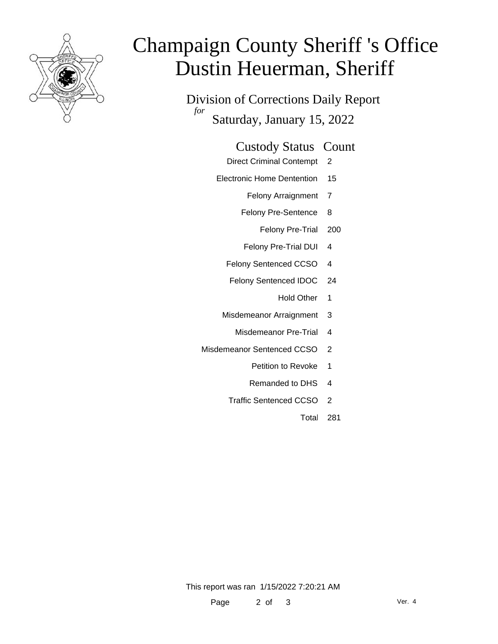

# Champaign County Sheriff 's Office Dustin Heuerman, Sheriff

Division of Corrections Daily Report *for* Saturday, January 15, 2022

#### Custody Status Count

- Direct Criminal Contempt 2
- Electronic Home Dentention 15
	- Felony Arraignment 7
	- Felony Pre-Sentence 8
		- Felony Pre-Trial 200
	- Felony Pre-Trial DUI 4
	- Felony Sentenced CCSO 4
	- Felony Sentenced IDOC 24
		- Hold Other 1
	- Misdemeanor Arraignment 3
		- Misdemeanor Pre-Trial 4
- Misdemeanor Sentenced CCSO 2
	- Petition to Revoke 1
	- Remanded to DHS 4
	- Traffic Sentenced CCSO 2
		- Total 281

This report was ran 1/15/2022 7:20:21 AM